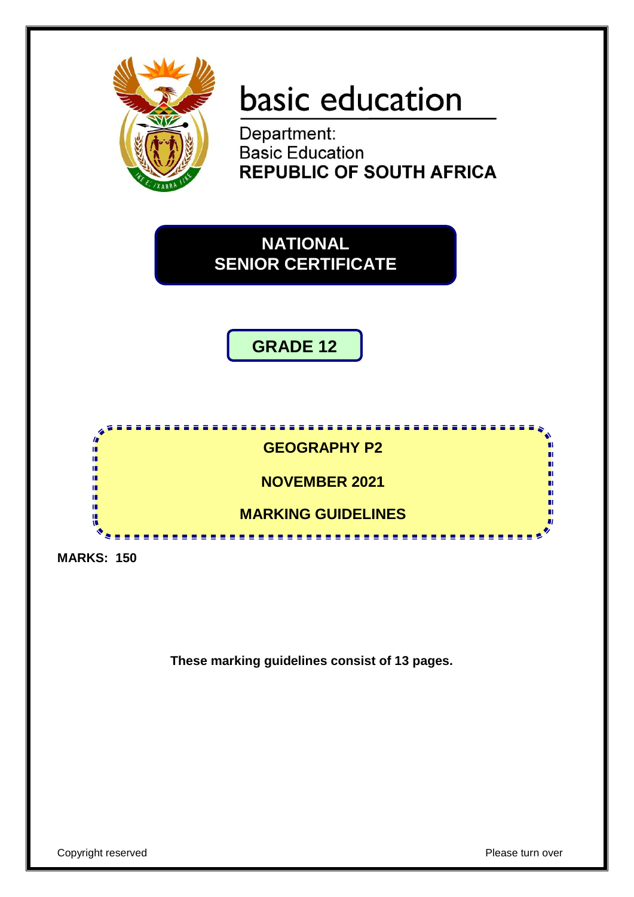

# basic education

Department: **Basic Education REPUBLIC OF SOUTH AFRICA** 

**NATIONAL SENIOR CERTIFICATE**





**MARKS: 150**

**These marking guidelines consist of 13 pages.**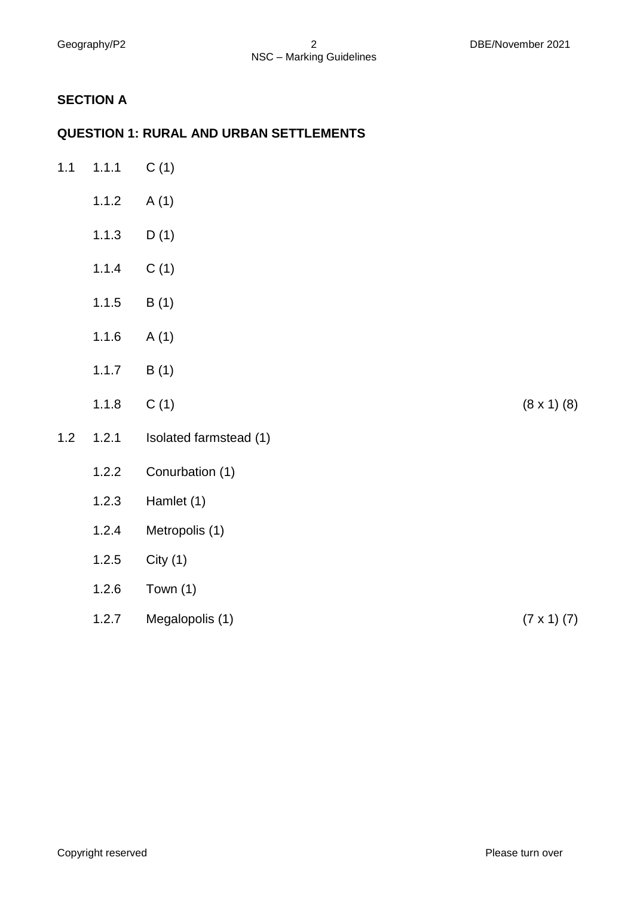# **SECTION A**

## **QUESTION 1: RURAL AND URBAN SETTLEMENTS**

| $1.1$ | 1.1.1 | C(1)                   |                      |
|-------|-------|------------------------|----------------------|
|       | 1.1.2 | A(1)                   |                      |
|       | 1.1.3 | D(1)                   |                      |
|       | 1.1.4 | C(1)                   |                      |
|       | 1.1.5 | B(1)                   |                      |
|       | 1.1.6 | A(1)                   |                      |
|       | 1.1.7 | B(1)                   |                      |
|       | 1.1.8 | C(1)                   | $(8 \times 1)$ $(8)$ |
| $1.2$ | 1.2.1 | Isolated farmstead (1) |                      |
|       | 1.2.2 | Conurbation (1)        |                      |
|       | 1.2.3 | Hamlet (1)             |                      |
|       | 1.2.4 | Metropolis (1)         |                      |
|       | 1.2.5 | City(1)                |                      |
|       | 1.2.6 | Town $(1)$             |                      |
|       | 1.2.7 | Megalopolis (1)        | $(7 \times 1) (7)$   |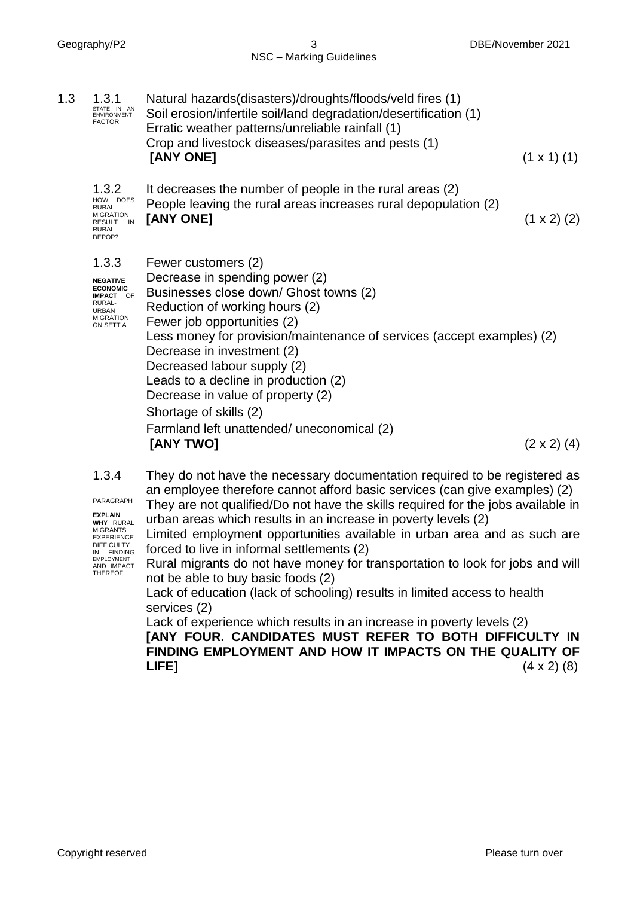| 1.3<br>1.3.1<br>STATE IN AN<br><b>ENVIRONMENT</b><br><b>FACTOR</b>                                                         | Natural hazards(disasters)/droughts/floods/veld fires (1)<br>Soil erosion/infertile soil/land degradation/desertification (1)<br>Erratic weather patterns/unreliable rainfall (1)<br>Crop and livestock diseases/parasites and pests (1)<br>[ANY ONE]                                                                                                                                                                                                                     | $(1 \times 1)$ (1) |
|----------------------------------------------------------------------------------------------------------------------------|---------------------------------------------------------------------------------------------------------------------------------------------------------------------------------------------------------------------------------------------------------------------------------------------------------------------------------------------------------------------------------------------------------------------------------------------------------------------------|--------------------|
| 1.3.2<br>HOW DOES<br><b>RURAL</b><br><b>MIGRATION</b><br>RESULT IN<br><b>RURAL</b><br>DEPOP?                               | It decreases the number of people in the rural areas (2)<br>People leaving the rural areas increases rural depopulation (2)<br>[ANY ONE]                                                                                                                                                                                                                                                                                                                                  | $(1 \times 2)$ (2) |
| 1.3.3<br><b>NEGATIVE</b><br><b>ECONOMIC</b><br><b>IMPACT OF</b><br>RURAL-<br><b>URBAN</b><br><b>MIGRATION</b><br>ON SETT A | Fewer customers (2)<br>Decrease in spending power (2)<br>Businesses close down/ Ghost towns (2)<br>Reduction of working hours (2)<br>Fewer job opportunities (2)<br>Less money for provision/maintenance of services (accept examples) (2)<br>Decrease in investment (2)<br>Decreased labour supply (2)<br>Leads to a decline in production (2)<br>Decrease in value of property (2)<br>Shortage of skills (2)<br>Farmland left unattended/ uneconomical (2)<br>[ANY TWO] | $(2 \times 2)$ (4) |

1.3.4 PARAGRAPH They do not have the necessary documentation required to be registered as an employee therefore cannot afford basic services (can give examples) (2)

They are not qualified/Do not have the skills required for the jobs available in urban areas which results in an increase in poverty levels (2)

Limited employment opportunities available in urban area and as such are forced to live in informal settlements (2)

Rural migrants do not have money for transportation to look for jobs and will not be able to buy basic foods (2)

Lack of education (lack of schooling) results in limited access to health services (2)

Lack of experience which results in an increase in poverty levels (2)

**[ANY FOUR. CANDIDATES MUST REFER TO BOTH DIFFICULTY IN FINDING EMPLOYMENT AND HOW IT IMPACTS ON THE QUALITY OF LIFE]** (4 x 2) (8)

**EXPLAIN WHY** RURAL MIGRANTS EXPERIENCE DIFFICULTY IN FINDING<br>EMPLOYMENT<br>AND IMPACT THEREOF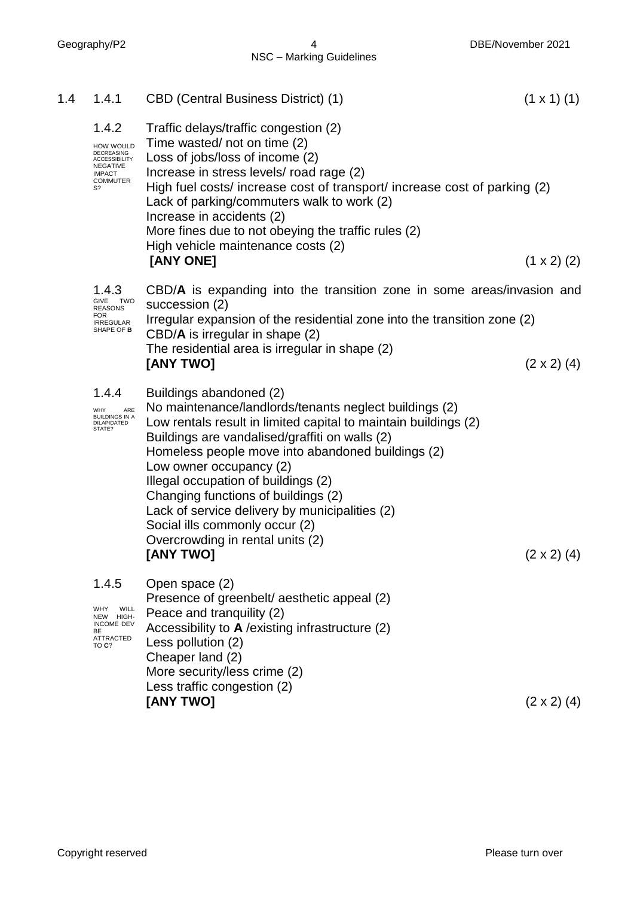Geography/P2 4 DBE/November 2021

| 1.4 | 1.4.1                                                                                                                        | <b>CBD (Central Business District) (1)</b>                                                                                                                                                                                                                                                                                                                                                                                                                                                                       | $(1 \times 1)$ (1) |
|-----|------------------------------------------------------------------------------------------------------------------------------|------------------------------------------------------------------------------------------------------------------------------------------------------------------------------------------------------------------------------------------------------------------------------------------------------------------------------------------------------------------------------------------------------------------------------------------------------------------------------------------------------------------|--------------------|
|     | 1.4.2<br>HOW WOULD<br><b>DECREASING</b><br><b>ACCESSIBILITY</b><br><b>NEGATIVE</b><br><b>IMPACT</b><br><b>COMMUTER</b><br>S? | Traffic delays/traffic congestion (2)<br>Time wasted/not on time (2)<br>Loss of jobs/loss of income (2)<br>Increase in stress levels/ road rage (2)<br>High fuel costs/ increase cost of transport/ increase cost of parking (2)<br>Lack of parking/commuters walk to work (2)<br>Increase in accidents (2)<br>More fines due to not obeying the traffic rules (2)<br>High vehicle maintenance costs (2)<br>[ANY ONE]                                                                                            | $(1 \times 2)$ (2) |
|     | 1.4.3<br>GIVE<br>TWO                                                                                                         | CBD/A is expanding into the transition zone in some areas/invasion and                                                                                                                                                                                                                                                                                                                                                                                                                                           |                    |
|     | <b>REASONS</b><br><b>FOR</b><br><b>IRREGULAR</b><br>SHAPE OF <b>B</b>                                                        | succession (2)<br>Irregular expansion of the residential zone into the transition zone (2)                                                                                                                                                                                                                                                                                                                                                                                                                       |                    |
|     |                                                                                                                              | $CBD/A$ is irregular in shape $(2)$<br>The residential area is irregular in shape (2)<br>[ANY TWO]                                                                                                                                                                                                                                                                                                                                                                                                               | $(2 \times 2)$ (4) |
|     | 1.4.4<br>ARE<br>WHY<br><b>BUILDINGS IN A</b><br>DILAPIDATED<br>STATE?                                                        | Buildings abandoned (2)<br>No maintenance/landlords/tenants neglect buildings (2)<br>Low rentals result in limited capital to maintain buildings (2)<br>Buildings are vandalised/graffiti on walls (2)<br>Homeless people move into abandoned buildings (2)<br>Low owner occupancy (2)<br>Illegal occupation of buildings (2)<br>Changing functions of buildings (2)<br>Lack of service delivery by municipalities (2)<br>Social ills commonly occur (2)<br>Overcrowding in rental units (2)<br><b>[ANY TWO]</b> | $(2 \times 2)$ (4) |
|     | 1.4.5<br>WHY<br>WILL<br>NEW HIGH-<br><b>INCOME DEV</b><br>BE<br>ATTRACTED<br>TO C?                                           | Open space (2)<br>Presence of greenbelt/aesthetic appeal (2)<br>Peace and tranquility (2)<br>Accessibility to A / existing infrastructure (2)<br>Less pollution (2)<br>Cheaper land (2)<br>More security/less crime (2)<br>Less traffic congestion (2)<br>[ANY TWO]                                                                                                                                                                                                                                              | $(2 \times 2)$ (4) |
|     |                                                                                                                              |                                                                                                                                                                                                                                                                                                                                                                                                                                                                                                                  |                    |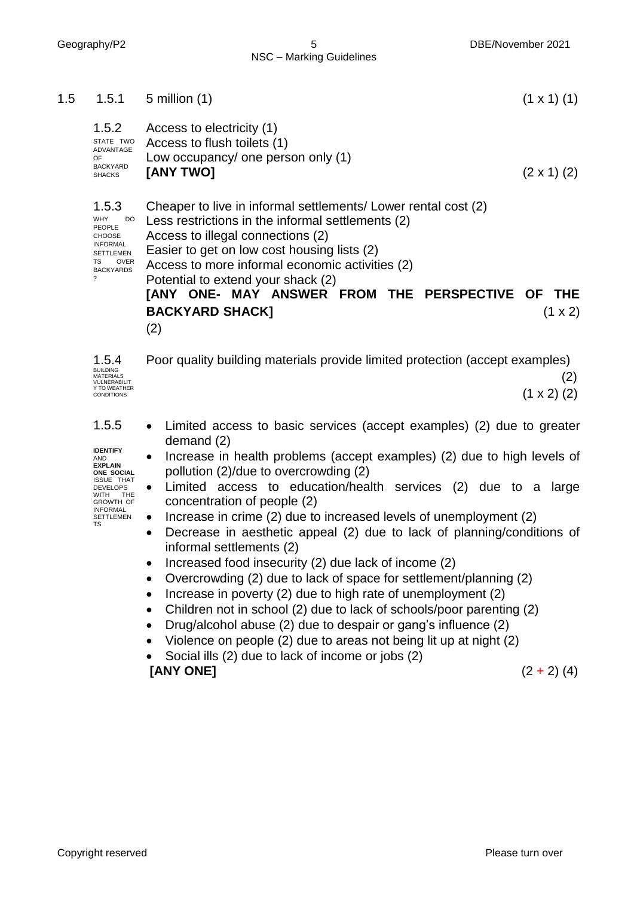| 1.5 | 1.5.1                                                                                                                                                                                   | $5$ million $(1)$<br>$(1 \times 1)$ (1)                                                                                                                                                                                                                                                                                                                                                                                                                                                                                                                                                                                                                                                                                                                                                                                                  |
|-----|-----------------------------------------------------------------------------------------------------------------------------------------------------------------------------------------|------------------------------------------------------------------------------------------------------------------------------------------------------------------------------------------------------------------------------------------------------------------------------------------------------------------------------------------------------------------------------------------------------------------------------------------------------------------------------------------------------------------------------------------------------------------------------------------------------------------------------------------------------------------------------------------------------------------------------------------------------------------------------------------------------------------------------------------|
|     | 1.5.2<br>STATE TWO<br>ADVANTAGE<br><b>OF</b><br><b>BACKYARD</b><br><b>SHACKS</b>                                                                                                        | Access to electricity (1)<br>Access to flush toilets (1)<br>Low occupancy/ one person only (1)<br>[ANY TWO]<br>$(2 \times 1)$ (2)                                                                                                                                                                                                                                                                                                                                                                                                                                                                                                                                                                                                                                                                                                        |
|     | 1.5.3<br><b>WHY</b><br>DO<br>PEOPLE<br><b>CHOOSE</b><br><b>INFORMAL</b><br><b>SETTLEMEN</b><br>TS<br>OVER<br><b>BACKYARDS</b><br>?                                                      | Cheaper to live in informal settlements/ Lower rental cost (2)<br>Less restrictions in the informal settlements (2)<br>Access to illegal connections (2)<br>Easier to get on low cost housing lists (2)<br>Access to more informal economic activities (2)<br>Potential to extend your shack (2)<br><b>JANY ONE- MAY ANSWER FROM THE PERSPECTIVE OF</b><br><b>THE</b><br><b>BACKYARD SHACK]</b><br>$(1 \times 2)$<br>(2)                                                                                                                                                                                                                                                                                                                                                                                                                 |
|     | 1.5.4<br><b>BUILDING</b><br><b>MATERIALS</b><br>VULNERABILIT<br>Y TO WEATHER<br><b>CONDITIONS</b>                                                                                       | Poor quality building materials provide limited protection (accept examples)<br>(2)<br>$(1 \times 2)$ (2)                                                                                                                                                                                                                                                                                                                                                                                                                                                                                                                                                                                                                                                                                                                                |
|     | 1.5.5<br><b>IDENTIFY</b><br>AND<br><b>EXPLAIN</b><br>ONE SOCIAL<br><b>ISSUE THAT</b><br><b>DEVELOPS</b><br>WITH<br>THE<br><b>GROWTH OF</b><br><b>INFORMAL</b><br><b>SETTLEMEN</b><br>TS | Limited access to basic services (accept examples) (2) due to greater<br>demand $(2)$<br>Increase in health problems (accept examples) (2) due to high levels of<br>pollution (2)/due to overcrowding (2)<br>Limited access to education/health services (2) due to a large<br>$\bullet$<br>concentration of people (2)<br>Increase in crime (2) due to increased levels of unemployment (2)<br>Decrease in aesthetic appeal (2) due to lack of planning/conditions of<br>informal settlements (2)<br>Increased food insecurity (2) due lack of income (2)<br>Overcrowding (2) due to lack of space for settlement/planning (2)<br>Increase in poverty (2) due to high rate of unemployment (2)<br>Children not in school (2) due to lack of schools/poor parenting (2)<br>Drug/alcohol abuse (2) due to despair or gang's influence (2) |

- Violence on people (2) due to areas not being lit up at night (2)
- Social ills (2) due to lack of income or jobs (2)

## **[ANY ONE]** (2 + 2) (4)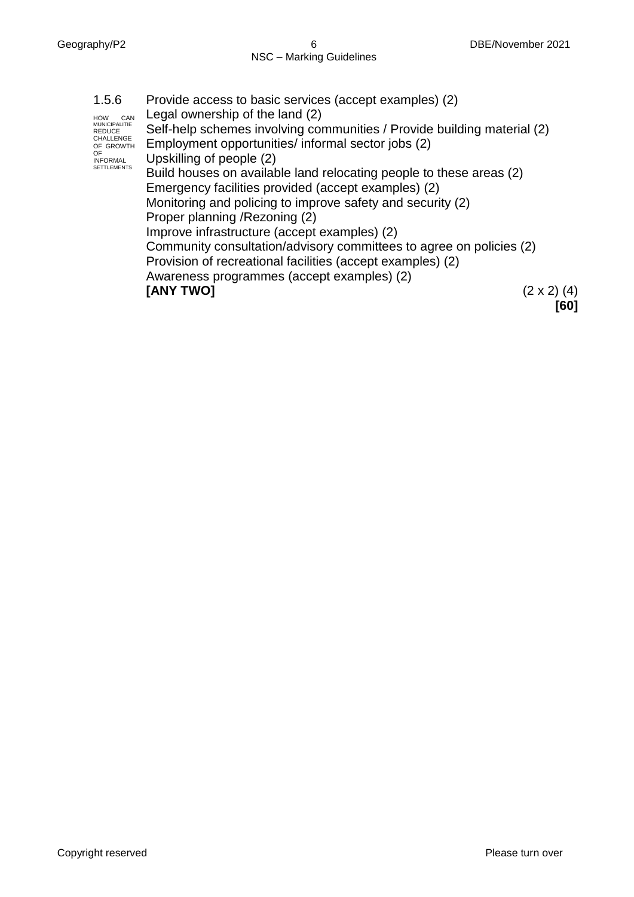1.5.6 HOW CAN MUNICIPALITIE REDUCE CHALLENGE OF GROWTH OF INFORMAL SETTLEMENTS Provide access to basic services (accept examples) (2) Legal ownership of the land (2) Self-help schemes involving communities / Provide building material (2) Employment opportunities/ informal sector jobs (2) Upskilling of people (2) Build houses on available land relocating people to these areas (2) Emergency facilities provided (accept examples) (2) Monitoring and policing to improve safety and security (2) Proper planning /Rezoning (2) Improve infrastructure (accept examples) (2) Community consultation/advisory committees to agree on policies (2) Provision of recreational facilities (accept examples) (2) Awareness programmes (accept examples) (2) **[ANY TWO]** (2 x 2) (4) **[60]**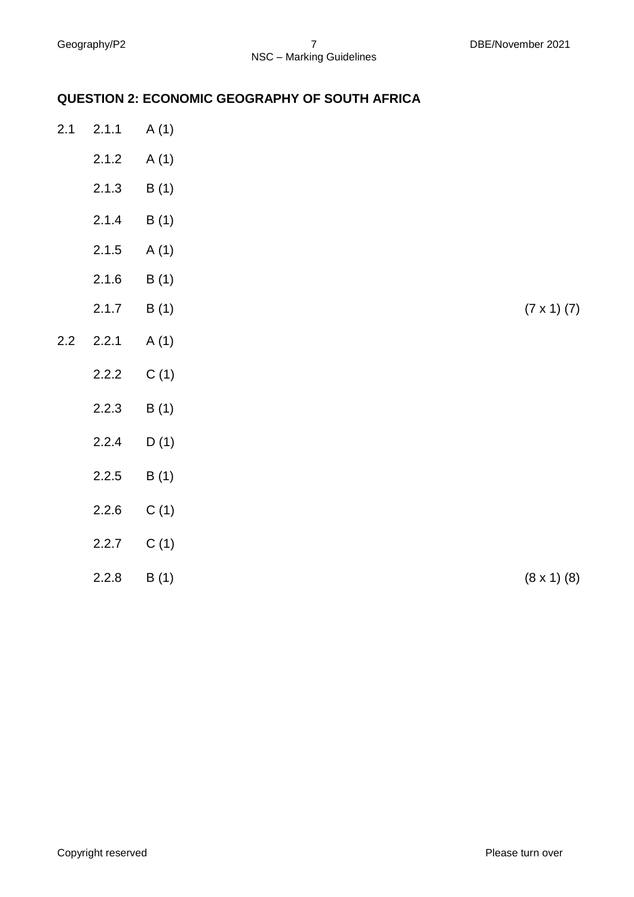# **QUESTION 2: ECONOMIC GEOGRAPHY OF SOUTH AFRICA**

| 2.1 | 2.1.1 | A(1) |                      |
|-----|-------|------|----------------------|
|     | 2.1.2 | A(1) |                      |
|     | 2.1.3 | B(1) |                      |
|     | 2.1.4 | B(1) |                      |
|     | 2.1.5 | A(1) |                      |
|     | 2.1.6 | B(1) |                      |
|     | 2.1.7 | B(1) | $(7 \times 1) (7)$   |
| 2.2 | 2.2.1 | A(1) |                      |
|     | 2.2.2 | C(1) |                      |
|     | 2.2.3 | B(1) |                      |
|     | 2.2.4 | D(1) |                      |
|     | 2.2.5 | B(1) |                      |
|     | 2.2.6 | C(1) |                      |
|     | 2.2.7 | C(1) |                      |
|     | 2.2.8 | B(1) | $(8 \times 1)$ $(8)$ |
|     |       |      |                      |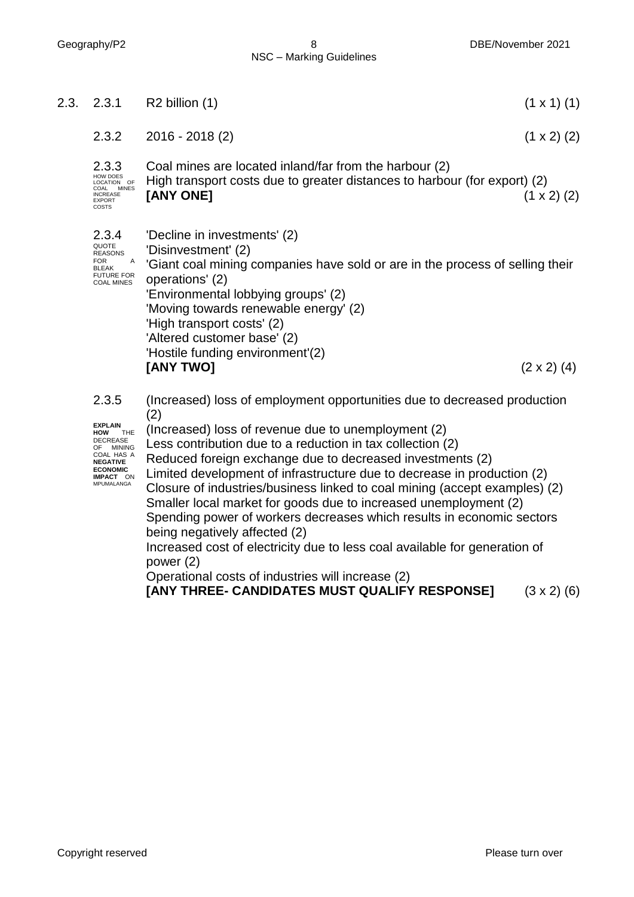2.3.3 HOW DOES LOCATION OF COAL MINES INCREASE EXPORT COSTS Coal mines are located inland/far from the harbour (2) High transport costs due to greater distances to harbour (for export) (2) **[ANY ONE]** (1 x 2) (2) 2.3.4 QUOTE<br>REASONS  $FOR$ **BLEAK** FUTURE FOR COAL MINES 'Decline in investments' (2) 'Disinvestment' (2) 'Giant coal mining companies have sold or are in the process of selling their operations' (2) 'Environmental lobbying groups' (2) 'Moving towards renewable energy' (2) 'High transport costs' (2) 'Altered customer base' (2) 'Hostile funding environment'(2) **[ANY TWO]** (2 x 2) (4) 2.3.5 **EXPLAIN**<br>HOW THE **HOW** THE DECREASE OF MINING<br>COAL HAS A<br>**NEGATIVE** (Increased) loss of employment opportunities due to decreased production (2) (Increased) loss of revenue due to unemployment (2) Less contribution due to a reduction in tax collection (2) 2.3. 2.3.1 R2 billion (1) (1 x 1) (1) 2.3.2 2016 - 2018 (2) (1 x 2) (2)

**ECONOMIC IMPACT** ON MPUMALANGA Reduced foreign exchange due to decreased investments (2) Limited development of infrastructure due to decrease in production (2) Closure of industries/business linked to coal mining (accept examples) (2) Smaller local market for goods due to increased unemployment (2)

Spending power of workers decreases which results in economic sectors being negatively affected (2) Increased cost of electricity due to less coal available for generation of

power (2)

Operational costs of industries will increase (2)

**[ANY THREE- CANDIDATES MUST QUALIFY RESPONSE]** (3 x 2) (6)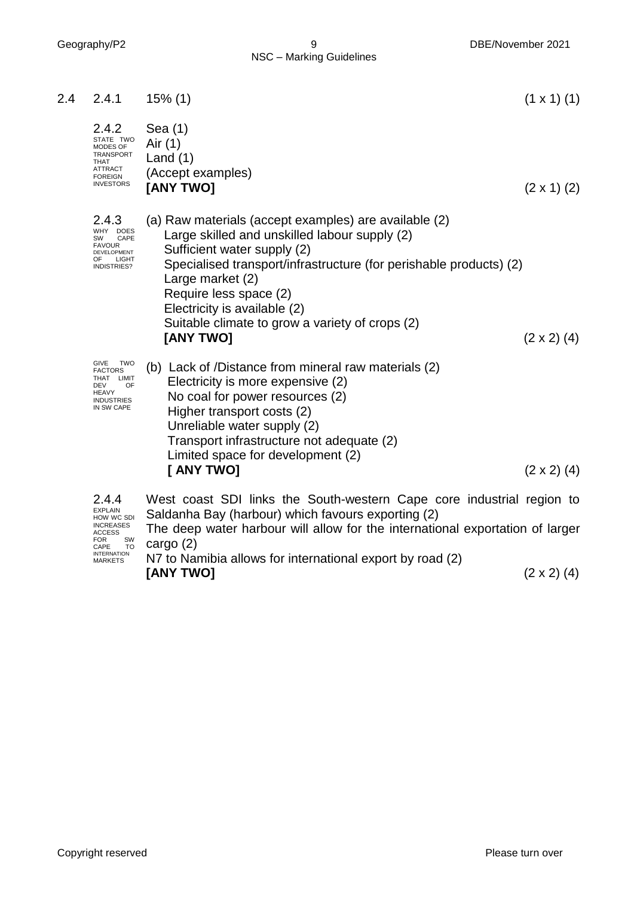| 2.4 | 2.4.1                                                                                                              | $15\%$ (1)                                                                                                                                                                                                                                                                                                                                                | $(1 \times 1)$ (1) |
|-----|--------------------------------------------------------------------------------------------------------------------|-----------------------------------------------------------------------------------------------------------------------------------------------------------------------------------------------------------------------------------------------------------------------------------------------------------------------------------------------------------|--------------------|
|     | 2.4.2<br>STATE TWO<br>MODES OF<br>TRANSPORT<br><b>THAT</b><br><b>ATTRACT</b><br><b>FOREIGN</b><br><b>INVESTORS</b> | Sea $(1)$<br>Air (1)<br>Land $(1)$<br>(Accept examples)<br>[ANY TWO]                                                                                                                                                                                                                                                                                      | $(2 \times 1)$ (2) |
|     | 2.4.3<br>WHY DOES<br>CAPE<br>SW<br><b>FAVOUR</b><br>DEVELOPMENT<br>OF<br>LIGHT<br>INDISTRIES?                      | (a) Raw materials (accept examples) are available (2)<br>Large skilled and unskilled labour supply (2)<br>Sufficient water supply (2)<br>Specialised transport/infrastructure (for perishable products) (2)<br>Large market (2)<br>Require less space (2)<br>Electricity is available (2)<br>Suitable climate to grow a variety of crops (2)<br>[ANY TWO] | $(2 \times 2)$ (4) |
|     | GIVE<br><b>TWO</b><br><b>FACTORS</b><br>THAT LIMIT<br>OF<br>DEV<br><b>HEAVY</b><br><b>INDUSTRIES</b><br>IN SW CAPE | (b) Lack of /Distance from mineral raw materials (2)<br>Electricity is more expensive (2)<br>No coal for power resources (2)<br>Higher transport costs (2)<br>Unreliable water supply (2)<br>Transport infrastructure not adequate (2)<br>Limited space for development (2)<br>[ ANY TWO]                                                                 | $(2 \times 2)$ (4) |
|     | 2.4.4<br><b>EXPLAIN</b><br>HOW WC SDI<br><b>INCREASES</b><br><b>ACCESS</b>                                         | West coast SDI links the South-western Cape core industrial region to<br>Saldanha Bay (harbour) which favours exporting (2)<br>The deep water harbour will allow for the international exportation of larger                                                                                                                                              |                    |

FOR SW CAPE TO INTERNATION MARKETS The deep water harbour will allow for the international exportation of larger cargo (2)

N7 to Namibia allows for international export by road (2) **[ANY TWO]** (2 x 2) (4)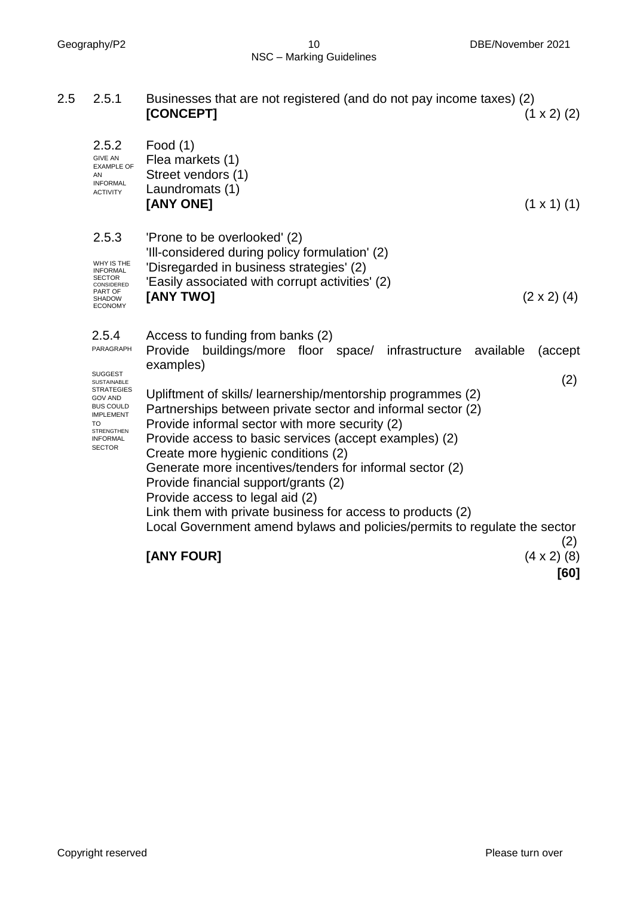#### Geography/P2 10 DBE/November 2021 NSC – Marking Guidelines

| 2.5 | 2.5.1                                                                                                                                                                                                           | Businesses that are not registered (and do not pay income taxes) (2)<br>[CONCEPT]                                                                                                                                                                                                                                                                                                                                                                                                                                                                                                                                                                                                  | $(1 \times 2)$ (2)            |
|-----|-----------------------------------------------------------------------------------------------------------------------------------------------------------------------------------------------------------------|------------------------------------------------------------------------------------------------------------------------------------------------------------------------------------------------------------------------------------------------------------------------------------------------------------------------------------------------------------------------------------------------------------------------------------------------------------------------------------------------------------------------------------------------------------------------------------------------------------------------------------------------------------------------------------|-------------------------------|
|     | 2.5.2<br><b>GIVE AN</b><br><b>EXAMPLE OF</b><br>AN<br><b>INFORMAL</b><br><b>ACTIVITY</b>                                                                                                                        | Food $(1)$<br>Flea markets (1)<br>Street vendors (1)<br>Laundromats (1)<br>[ANY ONE]                                                                                                                                                                                                                                                                                                                                                                                                                                                                                                                                                                                               | $(1 \times 1)$ (1)            |
|     | 2.5.3<br>WHY IS THE<br><b>INFORMAL</b><br><b>SECTOR</b><br>CONSIDERED<br>PART OF<br><b>SHADOW</b><br><b>ECONOMY</b>                                                                                             | 'Prone to be overlooked' (2)<br>'Ill-considered during policy formulation' (2)<br>'Disregarded in business strategies' (2)<br>'Easily associated with corrupt activities' (2)<br>[ANY TWO]                                                                                                                                                                                                                                                                                                                                                                                                                                                                                         | $(2 \times 2)$ (4)            |
|     | 2.5.4<br>PARAGRAPH<br><b>SUGGEST</b><br><b>SUSTAINABLE</b><br><b>STRATEGIES</b><br><b>GOV AND</b><br><b>BUS COULD</b><br><b>IMPLEMENT</b><br><b>TO</b><br><b>STRENGTHEN</b><br><b>INFORMAL</b><br><b>SECTOR</b> | Access to funding from banks (2)<br>buildings/more floor space/ infrastructure available<br>Provide<br>examples)<br>Upliftment of skills/learnership/mentorship programmes (2)<br>Partnerships between private sector and informal sector (2)<br>Provide informal sector with more security (2)<br>Provide access to basic services (accept examples) (2)<br>Create more hygienic conditions (2)<br>Generate more incentives/tenders for informal sector (2)<br>Provide financial support/grants (2)<br>Provide access to legal aid (2)<br>Link them with private business for access to products (2)<br>Local Government amend bylaws and policies/permits to regulate the sector | (accept)<br>(2)<br>(2)        |
|     |                                                                                                                                                                                                                 | [ANY FOUR]                                                                                                                                                                                                                                                                                                                                                                                                                                                                                                                                                                                                                                                                         | (8)<br>$(4 \times 2)$<br>[60] |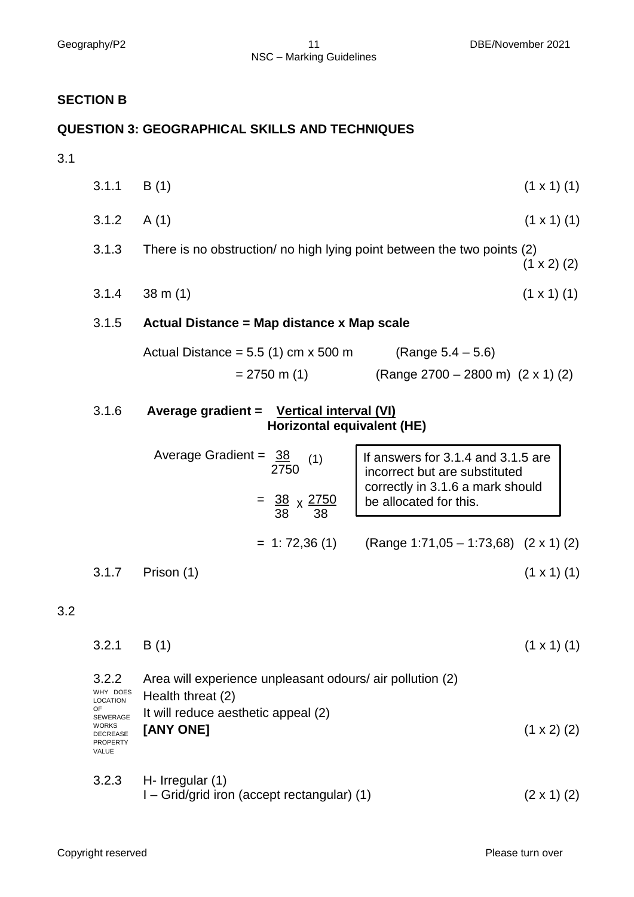#### **SECTION B**

## **QUESTION 3: GEOGRAPHICAL SKILLS AND TECHNIQUES**

# 3.1

| 3.1.1 | B(1)                                                                    | $(1 \times 1)$ (1)                                                  |
|-------|-------------------------------------------------------------------------|---------------------------------------------------------------------|
| 3.1.2 | A(1)                                                                    | $(1 \times 1)$ (1)                                                  |
| 3.1.3 | There is no obstruction/ no high lying point between the two points (2) | $(1 \times 2)$ (2)                                                  |
| 3.1.4 | $38 \text{ m} (1)$                                                      | $(1 \times 1)$ (1)                                                  |
| 3.1.5 | Actual Distance = Map distance x Map scale                              |                                                                     |
|       | Actual Distance = $5.5(1)$ cm x $500$ m                                 | (Range $5.4 - 5.6$ )                                                |
|       | $= 2750$ m (1)                                                          | (Range $2700 - 2800$ m) $(2 \times 1)$ (2)                          |
| 3.1.6 | Average gradient = Vertical interval (VI)<br>Horizontal equivalent (HE) |                                                                     |
|       | Average Gradient = $38$<br>(1)<br>2750                                  | If answers for 3.1.4 and 3.1.5 are<br>incorrect but are substituted |
|       | $=\frac{38}{38} \times \frac{2750}{38}$                                 | correctly in 3.1.6 a mark should<br>be allocated for this.          |
|       | $= 1: 72,36(1)$                                                         | (Range 1:71,05 - 1:73,68) $(2 \times 1)$ (2)                        |
| 3.1.7 | Prison (1)                                                              | $(1 \times 1)$ (1)                                                  |

#### 3.2

| $3.2.1$ B(1) | $(1 \times 1)$ (1) |  |  |
|--------------|--------------------|--|--|

| 3.2.2<br>WHY DOES<br><b>LOCATION</b><br>OF.<br>SEWERAGE<br><b>WORKS</b><br><b>DECREASE</b><br><b>PROPERTY</b><br><b>VALUE</b> | Area will experience unpleasant odours/ air pollution (2)<br>Health threat (2)<br>It will reduce aesthetic appeal (2)<br>[ANY ONE]<br>$(1 \times 2)$ (2) |  |
|-------------------------------------------------------------------------------------------------------------------------------|----------------------------------------------------------------------------------------------------------------------------------------------------------|--|
| 3.2.3                                                                                                                         | H- Irregular $(1)$                                                                                                                                       |  |

 $I - \text{Grid/grid iron (accept rectangular) (1)$  (2 x 1) (2)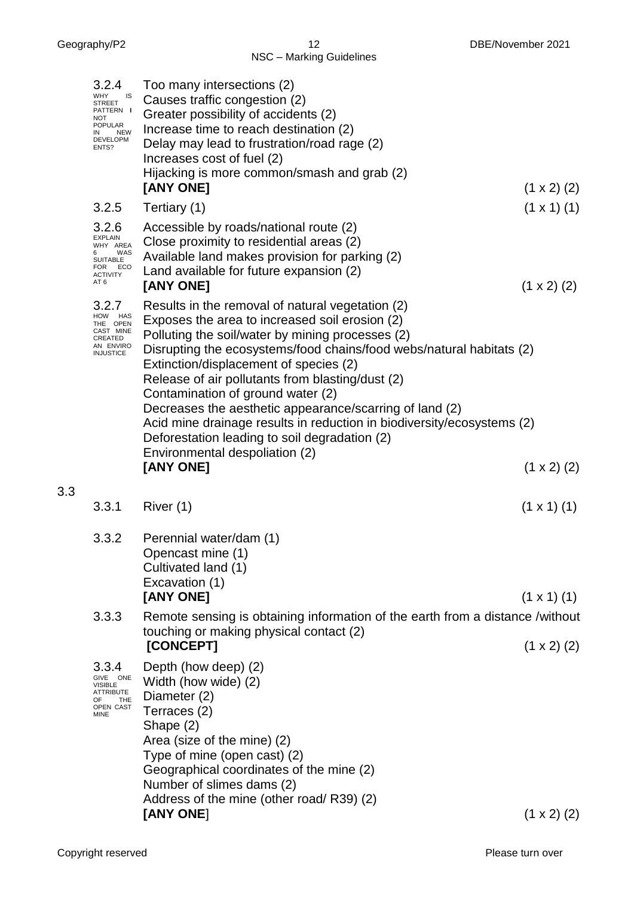| 3.2.4<br><b>WHY</b><br>IS<br>STREET<br>PATTERN I<br>NOT<br>POPULAR<br><b>NEW</b><br>IN<br>DEVELOPM<br>ENTS? | Too many intersections (2)<br>Causes traffic congestion (2)<br>Greater possibility of accidents (2)<br>Increase time to reach destination (2)<br>Delay may lead to frustration/road rage (2)<br>Increases cost of fuel (2)<br>Hijacking is more common/smash and grab (2)<br>[ANY ONE]                                                                                                                                                                                                                                                                                                                 | $(1 \times 2)$ (2)   |
|-------------------------------------------------------------------------------------------------------------|--------------------------------------------------------------------------------------------------------------------------------------------------------------------------------------------------------------------------------------------------------------------------------------------------------------------------------------------------------------------------------------------------------------------------------------------------------------------------------------------------------------------------------------------------------------------------------------------------------|----------------------|
| 3.2.5                                                                                                       | Tertiary (1)                                                                                                                                                                                                                                                                                                                                                                                                                                                                                                                                                                                           | $(1 \times 1)$ $(1)$ |
| 3.2.6<br><b>EXPLAIN</b><br>WHY AREA<br>WAS<br>6.<br><b>SUITABLE</b><br>FOR ECO<br><b>ACTIVITY</b><br>AT 6   | Accessible by roads/national route (2)<br>Close proximity to residential areas (2)<br>Available land makes provision for parking (2)<br>Land available for future expansion (2)<br>[ANY ONE]                                                                                                                                                                                                                                                                                                                                                                                                           | $(1 \times 2)$ (2)   |
| 3.2.7<br>HOW HAS<br>THE OPEN<br>CAST MINE<br>CREATED<br>AN ENVIRO<br><b>INJUSTICE</b>                       | Results in the removal of natural vegetation (2)<br>Exposes the area to increased soil erosion (2)<br>Polluting the soil/water by mining processes (2)<br>Disrupting the ecosystems/food chains/food webs/natural habitats (2)<br>Extinction/displacement of species (2)<br>Release of air pollutants from blasting/dust (2)<br>Contamination of ground water (2)<br>Decreases the aesthetic appearance/scarring of land (2)<br>Acid mine drainage results in reduction in biodiversity/ecosystems (2)<br>Deforestation leading to soil degradation (2)<br>Environmental despoliation (2)<br>[ANY ONE] | $(1 \times 2)$ (2)   |
| 3.3.1                                                                                                       | River (1)                                                                                                                                                                                                                                                                                                                                                                                                                                                                                                                                                                                              | $(1 \times 1)$ (1)   |
| 3.3.2                                                                                                       | Perennial water/dam (1)<br>Opencast mine (1)<br>Cultivated land (1)<br>Excavation (1)                                                                                                                                                                                                                                                                                                                                                                                                                                                                                                                  |                      |
|                                                                                                             | [ANY ONE]                                                                                                                                                                                                                                                                                                                                                                                                                                                                                                                                                                                              | $(1 \times 1)$ $(1)$ |
| 3.3.3                                                                                                       | Remote sensing is obtaining information of the earth from a distance /without<br>touching or making physical contact (2)                                                                                                                                                                                                                                                                                                                                                                                                                                                                               |                      |
|                                                                                                             | [CONCEPT]                                                                                                                                                                                                                                                                                                                                                                                                                                                                                                                                                                                              | $(1 \times 2)$ (2)   |
| 3.3.4<br>GIVE ONE<br><b>VISIBLE</b><br>ATTRIBUTE<br>THE<br>OF.<br>OPEN CAST<br>MINE                         | Depth (how deep) (2)<br>Width (how wide) (2)<br>Diameter (2)<br>Terraces (2)<br>Shape (2)<br>Area (size of the mine) (2)<br>Type of mine (open cast) (2)<br>Geographical coordinates of the mine (2)<br>Number of slimes dams (2)<br>Address of the mine (other road/R39) (2)<br>[ANY ONE]                                                                                                                                                                                                                                                                                                             | $(1 \times 2)$ (2)   |
|                                                                                                             |                                                                                                                                                                                                                                                                                                                                                                                                                                                                                                                                                                                                        |                      |

3.3